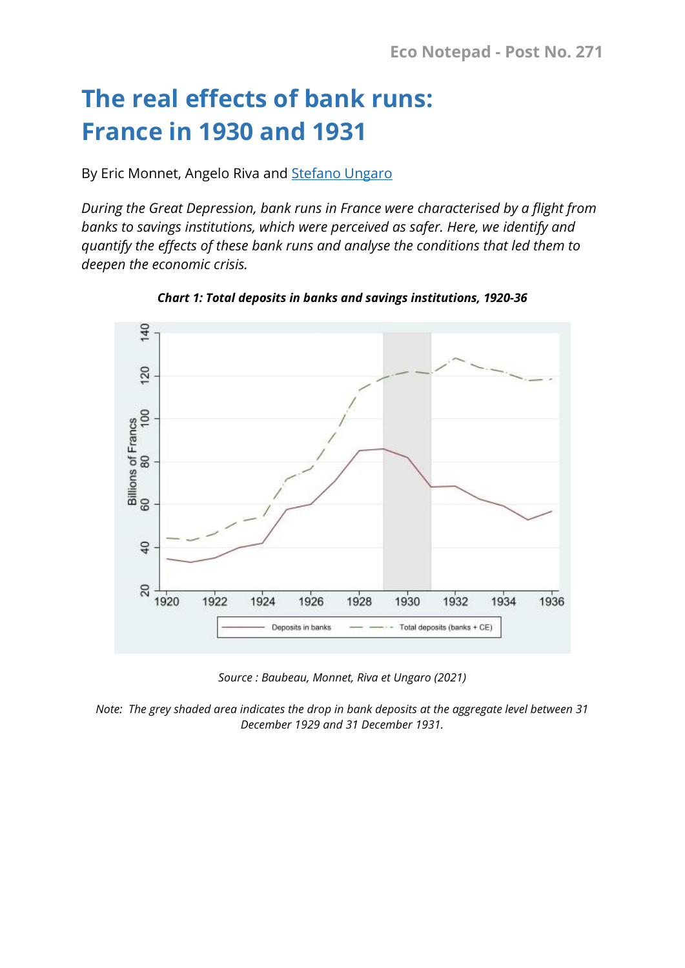## **The real effects of bank runs: France in 1930 and 1931**

By Eric Monnet, Angelo Riva and [Stefano Ungaro](https://www.banque-france.fr/en/economics/economists-and-researchers/stefano-ungaro)

*During the Great Depression, bank runs in France were characterised by a flight from banks to savings institutions, which were perceived as safer. Here, we identify and quantify the effects of these bank runs and analyse the conditions that led them to deepen the economic crisis.*



*Chart 1: Total deposits in banks and savings institutions, 1920-36* 

*Source : Baubeau, Monnet, Riva et Ungaro (2021)*

*Note: The grey shaded area indicates the drop in bank deposits at the aggregate level between 31 December 1929 and 31 December 1931.*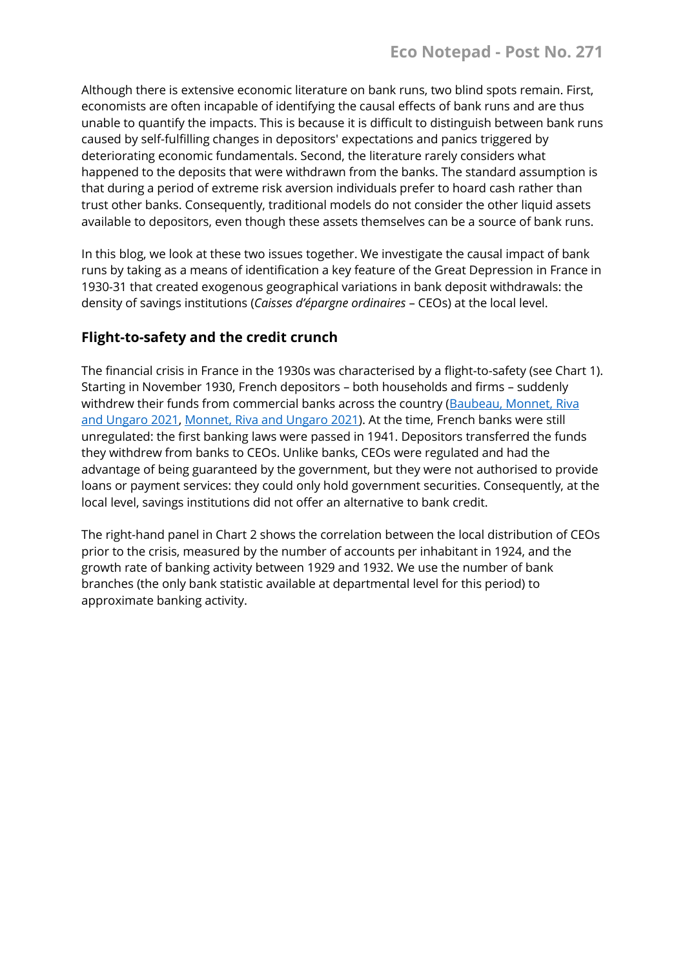Although there is extensive economic literature on bank runs, two blind spots remain. First, economists are often incapable of identifying the causal effects of bank runs and are thus unable to quantify the impacts. This is because it is difficult to distinguish between bank runs caused by self-fulfilling changes in depositors' expectations and panics triggered by deteriorating economic fundamentals. Second, the literature rarely considers what happened to the deposits that were withdrawn from the banks. The standard assumption is that during a period of extreme risk aversion individuals prefer to hoard cash rather than trust other banks. Consequently, traditional models do not consider the other liquid assets available to depositors, even though these assets themselves can be a source of bank runs.

In this blog, we look at these two issues together. We investigate the causal impact of bank runs by taking as a means of identification a key feature of the Great Depression in France in 1930-31 that created exogenous geographical variations in bank deposit withdrawals: the density of savings institutions (*Caisses d'épargne ordinaires* – CEOs) at the local level.

## **Flight-to-safety and the credit crunch**

The financial crisis in France in the 1930s was characterised by a flight-to-safety (see Chart 1). Starting in November 1930, French depositors – both households and firms – suddenly withdrew their funds from commercial banks across the country [\(Baubeau, Monnet, Riva](https://publications.banque-france.fr/en/flight-safety-and-credit-crunch-new-history-banking-crisis-france-during-great-depression)  [and Ungaro 2021,](https://publications.banque-france.fr/en/flight-safety-and-credit-crunch-new-history-banking-crisis-france-during-great-depression) [Monnet, Riva and Ungaro 2021\)](https://acpr.banque-france.fr/les-effets-reels-des-ruees-bancaires-lexemple-de-la-grande-depression-en-france-1930-1931). At the time, French banks were still unregulated: the first banking laws were passed in 1941. Depositors transferred the funds they withdrew from banks to CEOs. Unlike banks, CEOs were regulated and had the advantage of being guaranteed by the government, but they were not authorised to provide loans or payment services: they could only hold government securities. Consequently, at the local level, savings institutions did not offer an alternative to bank credit.

The right-hand panel in Chart 2 shows the correlation between the local distribution of CEOs prior to the crisis, measured by the number of accounts per inhabitant in 1924, and the growth rate of banking activity between 1929 and 1932. We use the number of bank branches (the only bank statistic available at departmental level for this period) to approximate banking activity.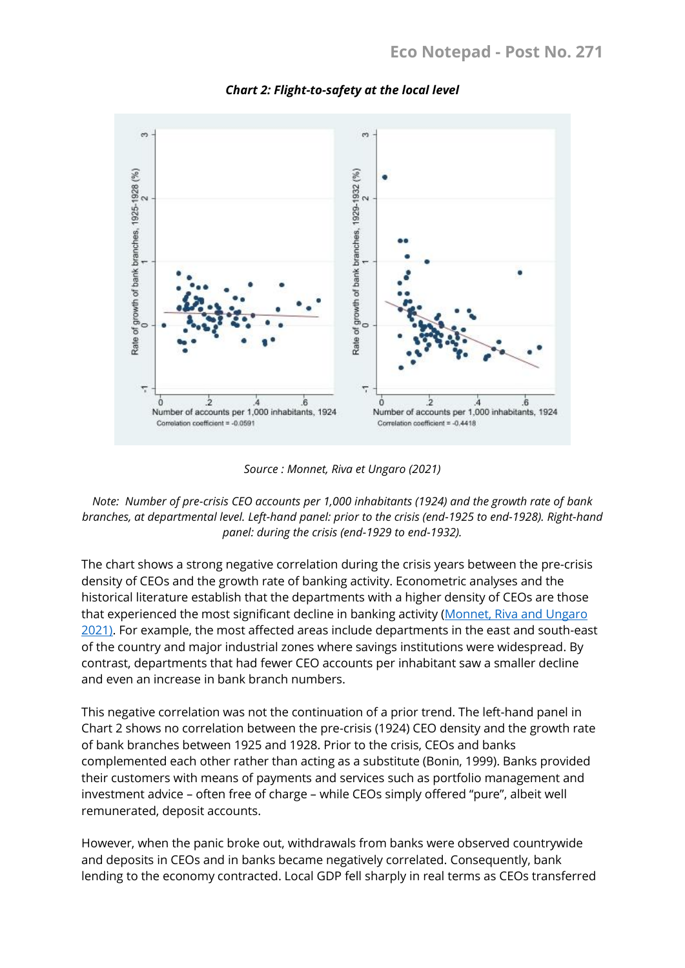

*Chart 2: Flight-to-safety at the local level*

*Source : Monnet, Riva et Ungaro (2021)*

## *Note: Number of pre-crisis CEO accounts per 1,000 inhabitants (1924) and the growth rate of bank branches, at departmental level. Left-hand panel: prior to the crisis (end-1925 to end-1928). Right-hand panel: during the crisis (end-1929 to end-1932).*

The chart shows a strong negative correlation during the crisis years between the pre-crisis density of CEOs and the growth rate of banking activity. Econometric analyses and the historical literature establish that the departments with a higher density of CEOs are those that experienced the most significant decline in banking activity [\(Monnet, Riva and Ungaro](https://acpr.banque-france.fr/les-effets-reels-des-ruees-bancaires-lexemple-de-la-grande-depression-en-france-1930-1931)  [2021\)](https://acpr.banque-france.fr/les-effets-reels-des-ruees-bancaires-lexemple-de-la-grande-depression-en-france-1930-1931). For example, the most affected areas include departments in the east and south-east of the country and major industrial zones where savings institutions were widespread. By contrast, departments that had fewer CEO accounts per inhabitant saw a smaller decline and even an increase in bank branch numbers.

This negative correlation was not the continuation of a prior trend. The left-hand panel in Chart 2 shows no correlation between the pre-crisis (1924) CEO density and the growth rate of bank branches between 1925 and 1928. Prior to the crisis, CEOs and banks complemented each other rather than acting as a substitute (Bonin, 1999). Banks provided their customers with means of payments and services such as portfolio management and investment advice – often free of charge – while CEOs simply offered "pure", albeit well remunerated, deposit accounts.

However, when the panic broke out, withdrawals from banks were observed countrywide and deposits in CEOs and in banks became negatively correlated. Consequently, bank lending to the economy contracted. Local GDP fell sharply in real terms as CEOs transferred